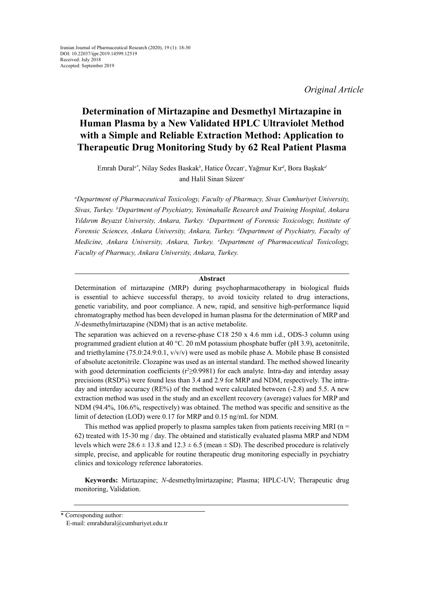*Original Article*

# **Determination of Mirtazapine and Desmethyl Mirtazapine in Human Plasma by a New Validated HPLC Ultraviolet Method with a Simple and Reliable Extraction Method: Application to Therapeutic Drug Monitoring Study by 62 Real Patient Plasma**

Emrah Dural*a\**, Nilay Sedes Baskak*<sup>b</sup>* , Hatice Özcan*<sup>c</sup>* , Yağmur Kır*<sup>d</sup>* , Bora Başkak*<sup>d</sup>* and Halil Sinan Süzen*<sup>e</sup>*

*a Department of Pharmaceutical Toxicology, Faculty of Pharmacy, Sivas Cumhuriyet University, Sivas, Turkey. b Department of Psychiatry, Yenimahalle Research and Training Hospital, Ankara Yıldırım Beyazıt University, Ankara, Turkey. <sup>c</sup> Department of Forensic Toxicology, Institute of Forensic Sciences, Ankara University, Ankara, Turkey. d Department of Psychiatry, Faculty of Medicine, Ankara University, Ankara, Turkey. e Department of Pharmaceutical Toxicology, Faculty of Pharmacy, Ankara University, Ankara, Turkey.*

# **Abstract**

Determination of mirtazapine (MRP) during psychopharmacotherapy in biological fluids is essential to achieve successful therapy, to avoid toxicity related to drug interactions, genetic variability, and poor compliance. A new, rapid, and sensitive high-performance liquid chromatography method has been developed in human plasma for the determination of MRP and *N*-desmethylmirtazapine (NDM) that is an active metabolite.

The separation was achieved on a reverse-phase C18 250 x 4.6 mm i.d., ODS-3 column using programmed gradient elution at 40 °C. 20 mM potassium phosphate buffer (pH 3.9), acetonitrile, and triethylamine (75.0:24.9:0.1, v/v/v) were used as mobile phase A. Mobile phase B consisted of absolute acetonitrile. Clozapine was used as an internal standard. The method showed linearity with good determination coefficients ( $r \ge 0.9981$ ) for each analyte. Intra-day and interday assay precisions (RSD%) were found less than 3.4 and 2.9 for MRP and NDM, respectively. The intraday and interday accuracy (RE%) of the method were calculated between (-2.8) and 5.5. A new extraction method was used in the study and an excellent recovery (average) values for MRP and NDM (94.4%, 106.6%, respectively) was obtained. The method was specific and sensitive as the limit of detection (LOD) were 0.17 for MRP and 0.15 ng/mL for NDM.

This method was applied properly to plasma samples taken from patients receiving MRI ( $n =$ 62) treated with 15-30 mg / day. The obtained and statistically evaluated plasma MRP and NDM levels which were  $28.6 \pm 13.8$  and  $12.3 \pm 6.5$  (mean  $\pm$  SD). The described procedure is relatively simple, precise, and applicable for routine therapeutic drug monitoring especially in psychiatry clinics and toxicology reference laboratories.

**Keywords:** Mirtazapine; *N*-desmethylmirtazapine; Plasma; HPLC-UV; Therapeutic drug monitoring, Validation.

<sup>\*</sup> Corresponding author:

E-mail: emrahdural@cumhuriyet.edu.tr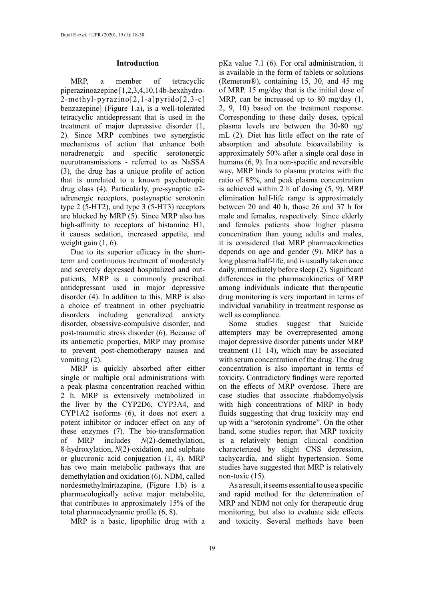# **Introduction**

MRP, a member of tetracyclic piperazinoazepine [1,2,3,4,10,14b-hexahydro-2-methyl-pyrazino[2,1-a]pyrido[2,3-c] benzazepine] (Figure 1.a), is a well-tolerated tetracyclic antidepressant that is used in the treatment of major depressive disorder (1, 2). Since MRP combines two synergistic mechanisms of action that enhance both noradrenergic and specific serotonergic neurotransmissions - referred to as NaSSA (3), the drug has a unique profile of action that is unrelated to a known psychotropic drug class (4). Particularly, pre-synaptic α2 adrenergic receptors, postsynaptic serotonin type 2 (5-HT2), and type 3 (5-HT3) receptors are blocked by MRP (5). Since MRP also has high-affinity to receptors of histamine H1, it causes sedation, increased appetite, and weight gain  $(1, 6)$ .

Due to its superior efficacy in the shortterm and continuous treatment of moderately and severely depressed hospitalized and outpatients, MRP is a commonly prescribed antidepressant used in major depressive disorder (4). In addition to this, MRP is also a choice of treatment in other psychiatric disorders including generalized anxiety disorder, obsessive-compulsive disorder, and post-traumatic stress disorder (6). Because of its antiemetic properties, MRP may promise to prevent post-chemotherapy nausea and vomiting (2).

MRP is quickly absorbed after either single or multiple oral administrations with a peak plasma concentration reached within 2 h. MRP is extensively metabolized in the liver by the CYP2D6, CYP3A4, and CYP1A2 isoforms (6), it does not exert a potent inhibitor or inducer effect on any of these enzymes (7). The bio-transformation of MRP includes *N*(2)-demethylation, 8-hydroxylation, *N*(2)-oxidation, and sulphate or glucuronic acid conjugation (1, 4). MRP has two main metabolic pathways that are demethylation and oxidation (6). NDM, called nordesmethylmirtazapine, (Figure 1.b) is a pharmacologically active major metabolite, that contributes to approximately 15% of the total pharmacodynamic profile (6, 8).

MRP is a basic, lipophilic drug with a

pKa value 7.1 (6). For oral administration, it is available in the form of tablets or solutions (Remeron®), containing 15, 30, and 45 mg of MRP. 15 mg/day that is the initial dose of MRP, can be increased up to 80 mg/day (1, 2, 9, 10) based on the treatment response. Corresponding to these daily doses, typical plasma levels are between the 30-80 ng/ mL (2). Diet has little effect on the rate of absorption and absolute bioavailability is approximately 50% after a single oral dose in humans (6, 9). In a non-specific and reversible way, MRP binds to plasma proteins with the ratio of 85%, and peak plasma concentration is achieved within 2 h of dosing (5, 9). MRP elimination half-life range is approximately between 20 and 40 h, those 26 and 37 h for male and females, respectively. Since elderly and females patients show higher plasma concentration than young adults and males, it is considered that MRP pharmacokinetics depends on age and gender (9). MRP has a long plasma half-life, and is usually taken once daily, immediately before sleep (2). Significant differences in the pharmacokinetics of MRP among individuals indicate that therapeutic drug monitoring is very important in terms of individual variability in treatment response as well as compliance.

Some studies suggest that Suicide attempters may be overrepresented among major depressive disorder patients under MRP treatment  $(11-14)$ , which may be associated with serum concentration of the drug. The drug concentration is also important in terms of toxicity. Contradictory findings were reported on the effects of MRP overdose. There are case studies that associate rhabdomyolysis with high concentrations of MRP in body fluids suggesting that drug toxicity may end up with a "serotonin syndrome". On the other hand, some studies report that MRP toxicity is a relatively benign clinical condition characterized by slight CNS depression, tachycardia, and slight hypertension. Some studies have suggested that MRP is relatively non-toxic (15).

As a result, it seems essential to use a specific and rapid method for the determination of MRP and NDM not only for therapeutic drug monitoring, but also to evaluate side effects and toxicity. Several methods have been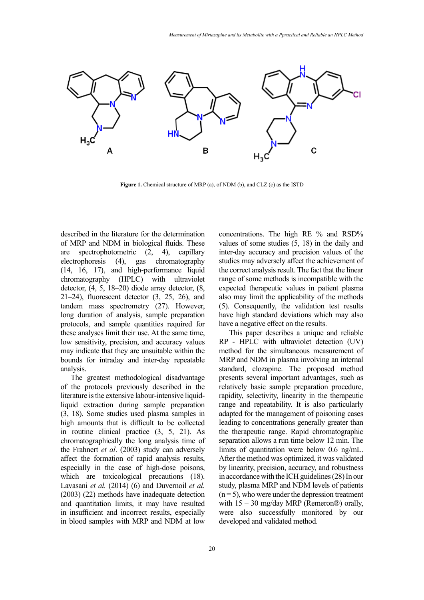

**Figure 1.** Chemical structure of MRP (a), of NDM (b), and CLZ (c) as the ISTD **Figure 1.** Chemical structure of MRP (a), of NDM (b), and CLZ (c) as the ISTD

described in the literature for the determination of MRP and NDM in biological fluids. These are spectrophotometric (2, 4), capillary electrophoresis (4), gas chromatography (14, 16, 17), and high-performance liquid chromatography (HPLC) with ultraviolet detector, (4, 5, 18–20) diode array detector, (8, 21–24), fluorescent detector (3, 25, 26), and tandem mass spectrometry (27). However, long duration of analysis, sample preparation protocols, and sample quantities required for these analyses limit their use. At the same time, low sensitivity, precision, and accuracy values may indicate that they are unsuitable within the bounds for intraday and inter-day repeatable analysis.

The greatest methodological disadvantage of the protocols previously described in the literature is the extensive labour-intensive liquidliquid extraction during sample preparation (3, 18). Some studies used plasma samples in high amounts that is difficult to be collected in routine clinical practice (3, 5, 21). As chromatographically the long analysis time of the Frahnert *et al*. (2003) study can adversely affect the formation of rapid analysis results, especially in the case of high-dose poisons, which are toxicological precautions (18). Lavasani *et al.* (2014) (6) and Duvernoil *et al.* (2003) (22) methods have inadequate detection and quantitation limits, it may have resulted in insufficient and incorrect results, especially in blood samples with MRP and NDM at low

concentrations. The high RE % and RSD% values of some studies (5, 18) in the daily and inter-day accuracy and precision values of the studies may adversely affect the achievement of the correct analysis result. The fact that the linear range of some methods is incompatible with the expected therapeutic values in patient plasma also may limit the applicability of the methods (5). Consequently, the validation test results have high standard deviations which may also have a negative effect on the results.

This paper describes a unique and reliable RP - HPLC with ultraviolet detection (UV) method for the simultaneous measurement of MRP and NDM in plasma involving an internal standard, clozapine. The proposed method presents several important advantages, such as relatively basic sample preparation procedure, rapidity, selectivity, linearity in the therapeutic range and repeatability. It is also particularly adapted for the management of poisoning cases leading to concentrations generally greater than the therapeutic range. Rapid chromatographic separation allows a run time below 12 min. The limits of quantitation were below 0.6 ng/mL. After the method was optimized, it was validated by linearity, precision, accuracy, and robustness in accordance with the ICH guidelines (28) In our study, plasma MRP and NDM levels of patients  $(n=5)$ , who were under the depression treatment with  $15 - 30$  mg/day MRP (Remeron®) orally, were also successfully monitored by our developed and validated method.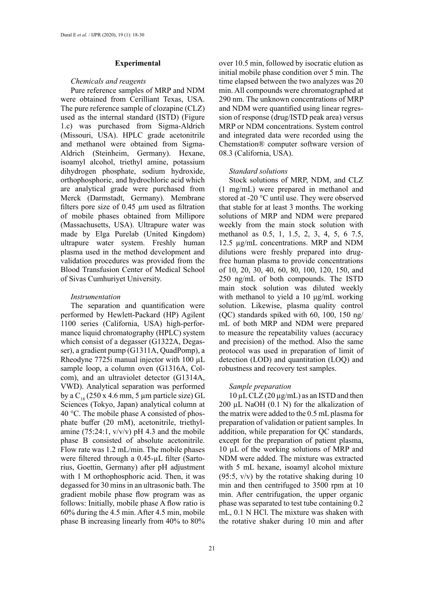# **Experimental**

## *Chemicals and reagents*

Pure reference samples of MRP and NDM were obtained from Cerilliant Texas, USA. The pure reference sample of clozapine (CLZ) used as the internal standard (ISTD) (Figure 1.c) was purchased from Sigma-Aldrich (Missouri, USA). HPLC grade acetonitrile and methanol were obtained from Sigma-Aldrich (Steinheim, Germany). Hexane, isoamyl alcohol, triethyl amine, potassium dihydrogen phosphate, sodium hydroxide, orthophosphoric, and hydrochloric acid which are analytical grade were purchased from Merck (Darmstadt, Germany). Membrane filters pore size of 0.45 µm used as filtration of mobile phases obtained from Millipore (Massachusetts, USA). Ultrapure water was made by Elga Purelab (United Kingdom) ultrapure water system. Freshly human plasma used in the method development and validation procedures was provided from the Blood Transfusion Center of Medical School of Sivas Cumhuriyet University.

## *Instrumentation*

The separation and quantification were performed by Hewlett-Packard (HP) Agilent 1100 series (California, USA) high-performance liquid chromatography (HPLC) system which consist of a degasser (G1322A, Degasser), a gradient pump (G1311A, QuadPomp), a Rheodyne 7725i manual injector with 100 µL sample loop, a column oven (G1316A, Colcom), and an ultraviolet detector (G1314A, VWD). Analytical separation was performed by a  $C_{18}$  (250 x 4.6 mm, 5 µm particle size) GL Sciences (Tokyo, Japan) analytical column at 40 °C. The mobile phase A consisted of phosphate buffer (20 mM), acetonitrile, triethylamine (75:24:1,  $v/v/v$ ) pH 4.3 and the mobile phase B consisted of absolute acetonitrile. Flow rate was 1.2 mL/min. The mobile phases were filtered through a 0.45-µL filter (Sartorius, Goettin, Germany) after pH adjustment with 1 M orthophosphoric acid. Then, it was degassed for 30 mins in an ultrasonic bath. The gradient mobile phase flow program was as follows: Initially, mobile phase A flow ratio is 60% during the 4.5 min. After 4.5 min, mobile phase B increasing linearly from 40% to 80%

over 10.5 min, followed by isocratic elution as initial mobile phase condition over 5 min. The time elapsed between the two analyzes was 20 min. All compounds were chromatographed at 290 nm. The unknown concentrations of MRP and NDM were quantified using linear regression of response (drug/ISTD peak area) versus MRP or NDM concentrations. System control and integrated data were recorded using the Chemstation® computer software version of 08.3 (California, USA).

## *Standard solutions*

Stock solutions of MRP, NDM, and CLZ (1 mg/mL) were prepared in methanol and stored at -20 °C until use. They were observed that stable for at least 3 months. The working solutions of MRP and NDM were prepared weekly from the main stock solution with methanol as 0.5, 1, 1.5, 2, 3, 4, 5, 6 7.5, 12.5 µg/mL concentrations. MRP and NDM dilutions were freshly prepared into drugfree human plasma to provide concentrations of 10, 20, 30, 40, 60, 80, 100, 120, 150, and 250 ng/mL of both compounds. The ISTD main stock solution was diluted weekly with methanol to yield a 10 μg/mL working solution. Likewise, plasma quality control (QC) standards spiked with 60, 100, 150 ng/ mL of both MRP and NDM were prepared to measure the repeatability values (accuracy and precision) of the method. Also the same protocol was used in preparation of limit of detection (LOD) and quantitation (LOQ) and robustness and recovery test samples.

#### *Sample preparation*

 $10 \mu$ L CLZ (20  $\mu$ g/mL) as an ISTD and then 200 µL NaOH (0.1 N) for the alkalization of the matrix were added to the 0.5 mL plasma for preparation of validation or patient samples. In addition, while preparation for QC standards, except for the preparation of patient plasma, 10 µL of the working solutions of MRP and NDM were added. The mixture was extracted with 5 mL hexane, isoamyl alcohol mixture  $(95:5, v/v)$  by the rotative shaking during 10 min and then centrifuged to 3500 rpm at 10 min. After centrifugation, the upper organic phase was separated to test tube containing 0.2 mL, 0.1 N HCl. The mixture was shaken with the rotative shaker during 10 min and after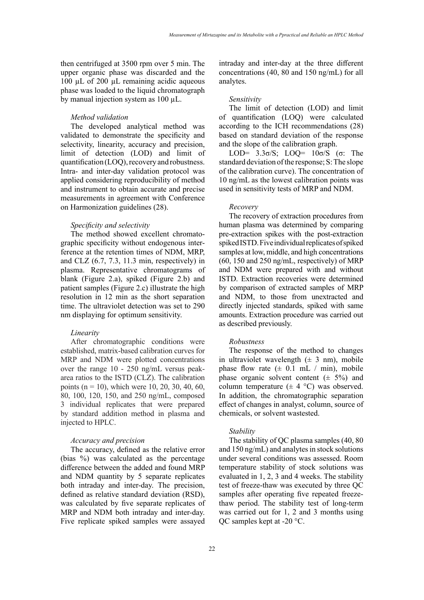then centrifuged at 3500 rpm over 5 min. The upper organic phase was discarded and the 100 µL of 200 µL remaining acidic aqueous phase was loaded to the liquid chromatograph by manual injection system as 100 µL.

## *Method validation*

The developed analytical method was validated to demonstrate the specificity and selectivity, linearity, accuracy and precision, limit of detection (LOD) and limit of quantification (LOQ), recovery and robustness. Intra- and inter-day validation protocol was applied considering reproducibility of method and instrument to obtain accurate and precise measurements in agreement with Conference on Harmonization guidelines (28).

# *Specificity and selectivity*

The method showed excellent chromatographic specificity without endogenous interference at the retention times of NDM, MRP, and CLZ (6.7, 7.3, 11.3 min, respectively) in plasma. Representative chromatograms of blank (Figure 2.a), spiked (Figure 2.b) and patient samples (Figure 2.c) illustrate the high resolution in 12 min as the short separation time. The ultraviolet detection was set to 290 nm displaying for optimum sensitivity.

#### *Linearity*

After chromatographic conditions were established, matrix-based calibration curves for MRP and NDM were plotted concentrations over the range 10 - 250 ng/mL versus peakarea ratios to the ISTD (CLZ). The calibration points (n = 10), which were 10, 20, 30, 40, 60, 80, 100, 120, 150, and 250 ng/mL, composed 3 individual replicates that were prepared by standard addition method in plasma and injected to HPLC.

# *Accuracy and precision*

The accuracy, defined as the relative error (bias %) was calculated as the percentage difference between the added and found MRP and NDM quantity by 5 separate replicates both intraday and inter-day. The precision, defined as relative standard deviation (RSD), was calculated by five separate replicates of MRP and NDM both intraday and inter-day. Five replicate spiked samples were assayed

intraday and inter-day at the three different concentrations (40, 80 and 150 ng/mL) for all analytes.

#### *Sensitivity*

The limit of detection (LOD) and limit of quantification (LOQ) were calculated according to the ICH recommendations (28) based on standard deviation of the response and the slope of the calibration graph.

LOD= 3.3σ/S; LOQ= 10σ/S (σ: The standard deviation of the response; S: The slope of the calibration curve). The concentration of 10 ng/mL as the lowest calibration points was used in sensitivity tests of MRP and NDM.

## *Recovery*

The recovery of extraction procedures from human plasma was determined by comparing pre-extraction spikes with the post-extraction spiked ISTD. Five individual replicates of spiked samples at low, middle, and high concentrations (60, 150 and 250 ng/mL, respectively) of MRP and NDM were prepared with and without ISTD. Extraction recoveries were determined by comparison of extracted samples of MRP and NDM, to those from unextracted and directly injected standards, spiked with same amounts. Extraction procedure was carried out as described previously.

#### *Robustness*

The response of the method to changes in ultraviolet wavelength  $(\pm 3 \text{ nm})$ , mobile phase flow rate  $(\pm 0.1 \text{ mL} / \text{min})$ , mobile phase organic solvent content  $(\pm 5\%)$  and column temperature  $(\pm 4 \degree C)$  was observed. In addition, the chromatographic separation effect of changes in analyst, column, source of chemicals, or solvent wastested.

#### *Stability*

The stability of QC plasma samples (40, 80 and 150 ng/mL) and analytes in stock solutions under several conditions was assessed. Room temperature stability of stock solutions was evaluated in 1, 2, 3 and 4 weeks. The stability test of freeze-thaw was executed by three QC samples after operating five repeated freezethaw period. The stability test of long-term was carried out for 1, 2 and 3 months using QC samples kept at -20 °C.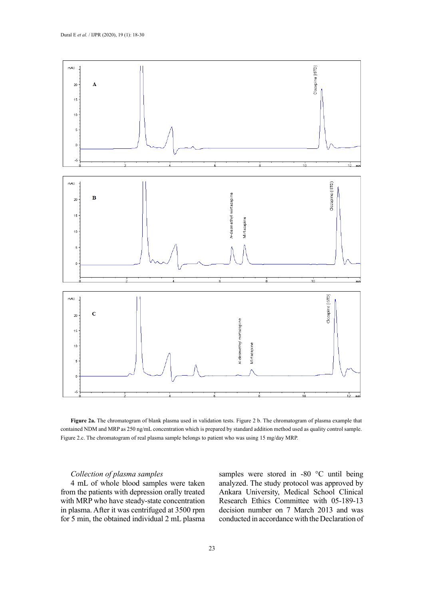

contained NDM and MRP as 250 ng/mL concentration which is prepared by standard addition method used as quality control sample. Figure 2.c. The chromatogram of real plasma sample belongs to patient who was using 15 mg/day MRP. **Figure 2a.** The chromatogram of blank plasma used in validation tests. Figure 2 b. The chromatogram of plasma example that

# *Collection of plasma samples*

4 mL of whole blood samples were taken from the patients with depression orally treated with MRP who have steady-state concentration in plasma. After it was centrifuged at 3500 rpm for 5 min, the obtained individual 2 mL plasma samples were stored in -80 °C until being analyzed. The study protocol was approved by Ankara University, Medical School Clinical Research Ethics Committee with 05-189-13 decision number on 7 March 2013 and was conducted in accordance with the Declaration of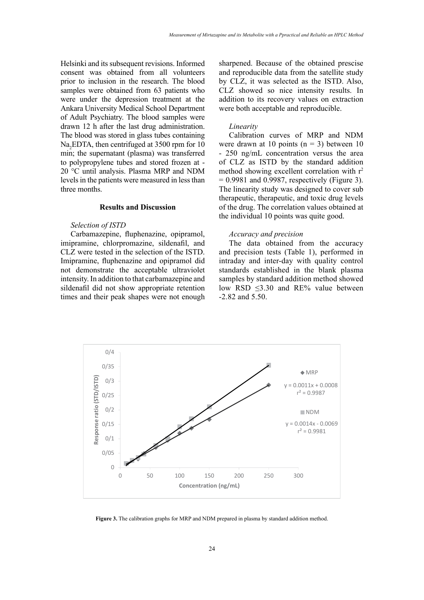Helsinki and its subsequent revisions. Informed consent was obtained from all volunteers prior to inclusion in the research. The blood samples were obtained from 63 patients who were under the depression treatment at the Ankara University Medical School Department of Adult Psychiatry. The blood samples were drawn 12 h after the last drug administration. The blood was stored in glass tubes containing Na<sub>2</sub>EDTA, then centrifuged at 3500 rpm for 10 min; the supernatant (plasma) was transferred to polypropylene tubes and stored frozen at - 20 °C until analysis. Plasma MRP and NDM levels in the patients were measured in less than three months.

# **Results and Discussion**

#### *Selection of ISTD*

Carbamazepine, fluphenazine, opipramol, imipramine, chlorpromazine, sildenafil, and CLZ were tested in the selection of the ISTD. Imipramine, fluphenazine and opipramol did not demonstrate the acceptable ultraviolet intensity. In addition to that carbamazepine and sildenafil did not show appropriate retention times and their peak shapes were not enough

sharpened. Because of the obtained prescise and reproducible data from the satellite study by CLZ, it was selected as the ISTD. Also, CLZ showed so nice intensity results. In addition to its recovery values on extraction were both acceptable and reproducible.

#### *Linearity*

Calibration curves of MRP and NDM were drawn at 10 points  $(n = 3)$  between 10 - 250 ng/mL concentration versus the area of CLZ as ISTD by the standard addition method showing excellent correlation with  $r^2$  $= 0.9981$  and 0.9987, respectively (Figure 3). The linearity study was designed to cover sub therapeutic, therapeutic, and toxic drug levels of the drug. The correlation values obtained at the individual 10 points was quite good.

# *Accuracy and precision*

The data obtained from the accuracy and precision tests (Table 1), performed in intraday and inter-day with quality control standards established in the blank plasma samples by standard addition method showed low RSD ≤3.30 and RE% value between -2.82 and 5.50.



**Figure 3.** The calibration graphs for MRP and NDM prepared in plasma by standard addition method. **Figure 3.** The calibration graphs for MRP and NDM prepared in plasma by standard addition method.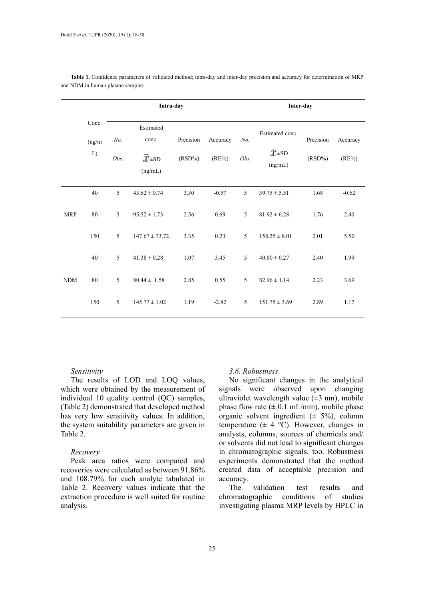|            |                       | Intra-day   |                                      |                     |                      |             | Inter-day                                    |                        |                      |  |  |
|------------|-----------------------|-------------|--------------------------------------|---------------------|----------------------|-------------|----------------------------------------------|------------------------|----------------------|--|--|
|            | Conc.<br>(ng/m)<br>L) | No.<br>Obs. | Estimated<br>conc.<br>$\bar{x}$ ± SD | Precision<br>(RSD%) | Accuracy<br>$(RE\%)$ | No.<br>Obs. | Estimated conc.<br>$\bar{x}$ = SD<br>(ng/mL) | Precision<br>$(RSD\%)$ | Accuracy<br>$(RE\%)$ |  |  |
|            |                       |             | (ng/mL)                              |                     |                      |             |                                              |                        |                      |  |  |
|            | 40                    | 5           | $43.62 \pm 0.74$                     | 3.30                | $-0.57$              | 5           | $39.75 \pm 5.51$                             | 1.68                   | $-0.62$              |  |  |
| <b>MRP</b> | 80                    | 5           | $95.52 \pm 1.73$                     | 2.56                | 0.69                 | 5           | $81.92 \pm 6.28$                             | 1.76                   | 2.40                 |  |  |
|            | 150                   | 5           | $147.67 \pm 73.72$                   | 3.35                | 0.23                 | 5           | $158.25 \pm 8.01$                            | 2.01                   | 5.50                 |  |  |
|            | 40                    | 5           | $41.38 \pm 0.28$                     | 1.07                | 3.45                 | 5           | $40.80 \pm 0.27$                             | 2.40                   | 1.99                 |  |  |
| <b>NDM</b> | 80                    | 5           | $80.44 \pm 1.58$                     | 2.85                | 0.55                 | 5           | $82.96 \pm 1.14$                             | 2.23                   | 3.69                 |  |  |
|            | 150                   | 5           | $145.77 \pm 1.02$                    | 1.19                | $-2.82$              | 5           | $151.75 \pm 3.69$                            | 2.89                   | 1.17                 |  |  |

Table 1. Confidence parameters of validated method; intra-day and inter-day precision and accuracy for determination of MRP and NDM in human plasma samples

# *Sensitivity*

The results of LOD and LOQ values, which were obtained by the measurement of individual 10 quality control (QC) samples, (Table 2) demonstrated that developed method has very low sensitivity values. In addition, the system suitability parameters are given in Table 2.

## *Recovery*

Peak area ratios were compared and recoveries were calculated as between 91.86% and 108.79% for each analyte tabulated in Table 2. Recovery values indicate that the extraction procedure is well suited for routine analysis.

# *3.6. Robustness*

No significant changes in the analytical signals were observed upon changing ultraviolet wavelength value  $(\pm 3 \text{ nm})$ , mobile phase flow rate  $(\pm 0.1 \text{ mL/min})$ , mobile phase organic solvent ingredient  $(\pm 5\%)$ , column temperature  $(\pm 4 \degree C)$ . However, changes in analysts, columns, sources of chemicals and/ or solvents did not lead to significant changes in chromatographic signals, too. Robustness experiments demonstrated that the method created data of acceptable precision and accuracy.

The validation test results and chromatographic conditions of studies investigating plasma MRP levels by HPLC in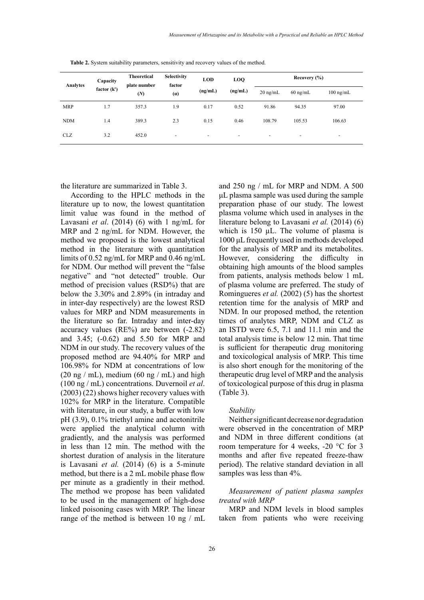| Analytes   | Capacity<br>factor (k') | <b>Theoretical</b><br>plate number<br>(N) | <b>Selectivity</b><br>factor<br>(a) | <b>LOD</b><br>(ng/mL)    | <b>LOO</b><br>(ng/mL)    | Recovery $(\% )$         |                          |                     |  |
|------------|-------------------------|-------------------------------------------|-------------------------------------|--------------------------|--------------------------|--------------------------|--------------------------|---------------------|--|
|            |                         |                                           |                                     |                          |                          | $20 \text{ ng/mL}$       | $60$ ng/mL               | $100 \text{ ng/mL}$ |  |
| <b>MRP</b> | 1.7                     | 357.3                                     | 1.9                                 | 0.17                     | 0.52                     | 91.86                    | 94.35                    | 97.00               |  |
| <b>NDM</b> | 1.4                     | 389.3                                     | 2.3                                 | 0.15                     | 0.46                     | 108.79                   | 105.53                   | 106.63              |  |
| <b>CLZ</b> | 3.2                     | 452.0                                     | $\overline{\phantom{a}}$            | $\overline{\phantom{a}}$ | $\overline{\phantom{0}}$ | $\overline{\phantom{a}}$ | $\overline{\phantom{a}}$ | ۰                   |  |

**Table 2.** System suitability parameters, sensitivity and recovery values of the method. **Table 2.** System suitability parameters, sensitivity and recovery values of the method.

the literature are summarized in Table 3.

According to the HPLC methods in the literature up to now, the lowest quantitation limit value was found in the method of Lavasani *et al*. (2014) (6) with 1 ng/mL for MRP and 2 ng/mL for NDM. However, the method we proposed is the lowest analytical method in the literature with quantitation limits of 0.52 ng/mL for MRP and 0.46 ng/mL for NDM. Our method will prevent the "false negative" and "not detected" trouble. Our method of precision values (RSD%) that are below the 3.30% and 2.89% (in intraday and in inter-day respectively) are the lowest RSD values for MRP and NDM measurements in the literature so far. Intraday and inter-day accuracy values (RE%) are between (-2.82) and 3.45; (-0.62) and 5.50 for MRP and NDM in our study. The recovery values of the proposed method are 94.40% for MRP and 106.98% for NDM at concentrations of low  $(20 \text{ ng } / \text{ mL})$ , medium  $(60 \text{ ng } / \text{ mL})$  and high (100 ng / mL) concentrations. Duvernoil *et al*. (2003) (22) shows higher recovery values with 102% for MRP in the literature. Compatible with literature, in our study, a buffer with low pH (3.9), 0.1% triethyl amine and acetonitrile were applied the analytical column with gradiently, and the analysis was performed in less than 12 min. The method with the shortest duration of analysis in the literature is Lavasani *et al.* (2014) (6) is a 5-minute method, but there is a 2 mL mobile phase flow per minute as a gradiently in their method. The method we propose has been validated to be used in the management of high-dose linked poisoning cases with MRP. The linear range of the method is between 10 ng / mL

and 250 ng / mL for MRP and NDM. A 500 μL plasma sample was used during the sample preparation phase of our study. The lowest plasma volume which used in analyses in the literature belong to Lavasani *et al.* (2014) (6) which is 150 µL. The volume of plasma is 1000 μL frequently used in methods developed for the analysis of MRP and its metabolites. However, considering the difficulty in obtaining high amounts of the blood samples from patients, analysis methods below 1 mL of plasma volume are preferred. The study of Romingueres *et al.* (2002) (5) has the shortest retention time for the analysis of MRP and NDM. In our proposed method, the retention times of analytes MRP, NDM and CLZ as an ISTD were 6.5, 7.1 and 11.1 min and the total analysis time is below 12 min. That time is sufficient for therapeutic drug monitoring and toxicological analysis of MRP. This time is also short enough for the monitoring of the therapeutic drug level of MRP and the analysis of toxicological purpose of this drug in plasma (Table 3).

#### *Stability*

Neither significant decrease nor degradation were observed in the concentration of MRP and NDM in three different conditions (at room temperature for 4 weeks, -20 °C for 3 months and after five repeated freeze-thaw period). The relative standard deviation in all samples was less than 4%.

# *Measurement of patient plasma samples treated with MRP*

MRP and NDM levels in blood samples taken from patients who were receiving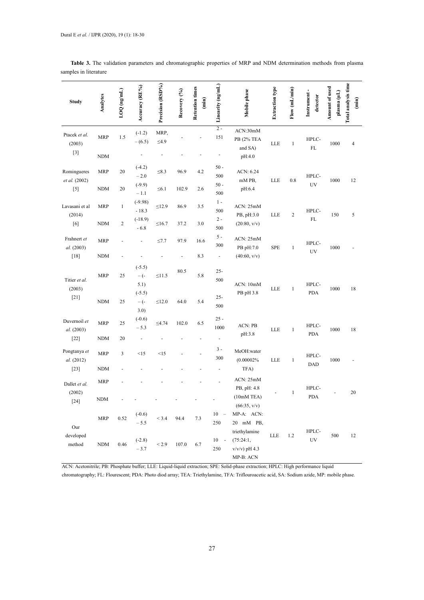| затрісэ т пістанис                                                                                                                                                                                                                                                           |                                                |                   |                                             |                           |               |                                  |                                                 |                                                          |                 |               |                         |                               |                                         |
|------------------------------------------------------------------------------------------------------------------------------------------------------------------------------------------------------------------------------------------------------------------------------|------------------------------------------------|-------------------|---------------------------------------------|---------------------------|---------------|----------------------------------|-------------------------------------------------|----------------------------------------------------------|-----------------|---------------|-------------------------|-------------------------------|-----------------------------------------|
| <b>Study</b>                                                                                                                                                                                                                                                                 | Analytes                                       | $LOQ$ (ng/mL)     | Accuracy (RE%)                              | Precision (RSD%)          | Recovery (%)  | <b>Retention times</b><br>(imin) | Linearity (ng/mL)                               | Mobile phase                                             | Extraction type | Flow (mL/min) | Instrument-<br>detector | Amount of used<br>plasma (µL) | Total analysis time<br>$\binom{min}{i}$ |
| Ptacek et al.<br>(2003)<br>$[3] % \begin{center} \includegraphics[width=\linewidth]{imagesSupplemental_3.png} \end{center} % \vspace*{-1em} \caption{The image shows the number of nodes of the two times, and the number of nodes of the two times.} \label{fig:example} %$ | <b>MRP</b><br><b>NDM</b>                       | 1.5               | $(-1.2)$<br>$-(6.5)$                        | MRP,<br>$\leq4.9$         |               |                                  | $2 -$<br>151                                    | ACN:30mM<br>PB (2% TEA<br>and SA)<br>pH:4.0              | LLE             | $\mathbf{1}$  | HPLC-<br>FL             | 1000                          | 4                                       |
| Romingueres<br>et al. (2002)<br>$[5]$                                                                                                                                                                                                                                        | MRP<br>NDM                                     | 20<br>20          | $(-4.2)$<br>$-2.0$<br>$(-9.9)$              | $\leq 8.3$<br>$\leq 6.1$  | 96.9<br>102.9 | 4.2<br>2.6                       | $50 -$<br>500<br>$50-$                          | ACN: 6.24<br>mM PB,<br>pH:6.4                            | LLE             | 0.8           | HPLC-<br>UV             | 1000                          | 12                                      |
| Lavasani et al<br>(2014)<br>[6]                                                                                                                                                                                                                                              | <b>MRP</b><br>NDM                              | $\mathbf{1}$<br>2 | $-1.1$<br>$(-9.98)$<br>$-18.3$<br>$(-18.9)$ | $\leq$ 12.9<br>$\leq16.7$ | 86.9<br>37.2  | 3.5<br>3.0                       | 500<br>$1 -$<br>500<br>$2 -$                    | ACN: 25mM<br>PB, pH:3.0<br>(20:80, v/v)                  | LLE             | 2             | HPLC-<br>FL             | 150                           | 5                                       |
| Frahnert et<br>al. (2003)<br>$[18]$                                                                                                                                                                                                                                          | <b>MRP</b><br>NDM                              |                   | $-6.8$                                      | $\leq 7.7$                | 97.9          | 16.6<br>8.3                      | 500<br>$5 -$<br>300<br>$\overline{\phantom{a}}$ | ACN: 25mM<br>PB pH:7.0<br>(40:60, v/v)                   | SPE             | $\mathbf{1}$  | HPLC-<br>UV             | 1000                          |                                         |
| Titier et al.<br>(2003)                                                                                                                                                                                                                                                      | <b>MRP</b>                                     | 25                | $(-5.5)$<br>$-$ (-<br>5.1)<br>$(-5.5)$      | $\leq$ 11.5               | 80.5          | 5.8                              | $25 -$<br>500                                   | ACN: 10mM<br>PB pH 3.8                                   | LLE             | $\mathbf{1}$  | HPLC-<br>PDA            | 1000                          | 18                                      |
| $[21]$                                                                                                                                                                                                                                                                       | <b>NDM</b>                                     | 25                | $-(-$<br>3.0)                               | $\leq 12.0$               | 64.0          | 5.4                              | $25 -$<br>500                                   |                                                          |                 |               |                         |                               |                                         |
| Duvernoil et<br>al. (2003)                                                                                                                                                                                                                                                   | <b>MRP</b>                                     | 25                | $(-0.6)$<br>$-5.3$                          | $\leq 4.74$               | 102.0         | 6.5                              | $25 -$<br>$1000\,$                              | <b>ACN: PB</b><br>pH:3.8                                 | LLE             | $\mathbf{1}$  | HPLC-<br>PDA            | 1000                          | 18                                      |
| $[22]$<br>Pongtanya et<br>al. (2012)                                                                                                                                                                                                                                         | <b>NDM</b><br><b>MRP</b>                       | 20<br>3           | <15                                         | <15                       |               |                                  | ÷,<br>$3 -$<br>300                              | MeOH:water<br>(0.00002%                                  | LLE             | $\mathbf{1}$  | HPLC-                   | 1000                          |                                         |
| $[23]$                                                                                                                                                                                                                                                                       | NDM                                            |                   |                                             |                           |               |                                  |                                                 | TFA)                                                     |                 |               | DAD                     |                               |                                         |
| Dallet et al.<br>(2002)                                                                                                                                                                                                                                                      | <b>MRP</b><br>$\mathbf{N}\mathbf{D}\mathbf{M}$ |                   |                                             |                           |               |                                  |                                                 | ACN: 25mM<br>PB, pH: 4.8<br>$(10mM)$ TEA)                |                 |               | HPLC-<br>PDA            |                               | 20                                      |
| $[24]$<br>Our                                                                                                                                                                                                                                                                | <b>MRP</b>                                     | 0.52              | $(-0.6)$<br>$-5.5$                          | < 3.4                     | 94.4          | 7.3                              | 10<br>$\sim$<br>250                             | (66:35, v/v)<br>MP-A: ACN:<br>20 mM PB,<br>triethylamine |                 |               | HPLC-                   |                               |                                         |
| developed<br>method                                                                                                                                                                                                                                                          | <b>NDM</b>                                     | 0.46              | $(-2.8)$<br>$-3.7$                          | ${}_{< 2.9}$              | 107.0         | 6.7                              | $10\,$<br>$\overline{\phantom{a}}$<br>250       | (75:24:1,<br>$v/v/v$ ) pH 4.3                            | LLE             | 1.2           | UV                      | 500                           | 12                                      |

**Table 3.** The validation parameters and chromatographic properties of MRP and NDM determination methods from plasma samples in literature

ACN: Acetonitrile; PB: Phosphate buffer; LLE: Liquid-liquid extraction; SPE: Solid-phase extraction; HPLC: High performance liquid

chromatography; FL: Flourescent; PDA: Photo diod array; TEA: Triethylamine, TFA: Triflouroacetic acid, SA: Sodium azide, MP: mobile phase.

MP-B: ACN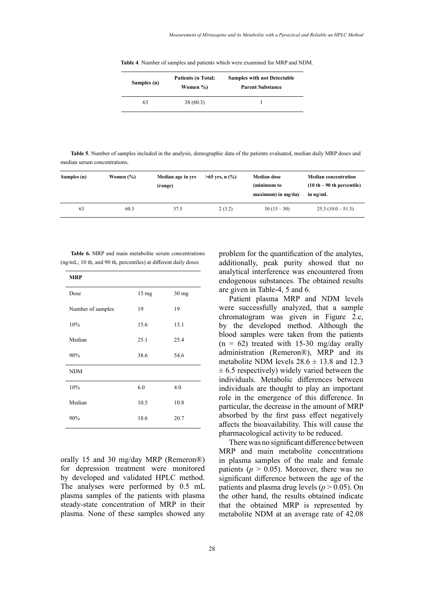**Table 4**. Number of samples and patients which were examined for MRP and NDM. **Table 4**. Number of samples and patients which were examined for MRP and NDM.

| Samples (n) | <b>Patients (n Total;</b><br>Women %) | <b>Samples with not Detectable</b><br><b>Parent Substance</b> |  |  |
|-------------|---------------------------------------|---------------------------------------------------------------|--|--|
| 63          | 38 (60.3)                             |                                                               |  |  |

**Table 5**. Number of samples included in the analysis, demographic data of the patients evaluated, median daily MRP doses and median serum concentrations. **Table 5**. Number of samples included in the analysis, demographic data of the patients evaluated, median daily MRP doses and median serum concentrations.

| Samples (n) | Women $(\% )$ | Median age in yrs<br>(range) | $>65$ yrs, n $(\% )$ | <b>Median dose</b><br>(minimum to<br>$maximum$ ) in mg/dav | <b>Median concentration</b><br>$(10 th - 90 th)$ percentile)<br>in $ng/mL$ |
|-------------|---------------|------------------------------|----------------------|------------------------------------------------------------|----------------------------------------------------------------------------|
| 63          | 60.3          | 37.5                         | 2(3.2)               | $30(15-30)$                                                | $25.3(10.0-51.3)$                                                          |

(ng/mL; 10 th, and 90 th, percentiles) at different daily doses **additionally**, **peak** purity showed t **Table 6.** MRP and main metabolite serum concentrations

| Dose<br>$15 \text{ mg}$<br>$30$ mg<br>19<br>19<br>Number of samples<br>10%<br>15.6<br>13.1<br>Median<br>25.1<br>25.4<br>90%<br>38.6<br>54.6<br><b>NDM</b><br>6.0<br>10%<br>4.0<br>Median<br>10.5<br>10.8 | <b>MRP</b> |  |
|----------------------------------------------------------------------------------------------------------------------------------------------------------------------------------------------------------|------------|--|
|                                                                                                                                                                                                          |            |  |
|                                                                                                                                                                                                          |            |  |
|                                                                                                                                                                                                          |            |  |
|                                                                                                                                                                                                          |            |  |
|                                                                                                                                                                                                          |            |  |
|                                                                                                                                                                                                          |            |  |
|                                                                                                                                                                                                          |            |  |
|                                                                                                                                                                                                          |            |  |
| 90%<br>18.6<br>20.7                                                                                                                                                                                      |            |  |

orally 15 and 30 mg/day MRP (Remeron®) for depression treatment were monitored by developed and validated HPLC method. The analyses were performed by 0.5 mL plasma samples of the patients with plasma steady-state concentration of MRP in their plasma. None of these samples showed any problem for the quantification of the analytes, additionally, peak purity showed that no analytical interference was encountered from endogenous substances. The obtained results are given in Table-4, 5 and 6.

Patient plasma MRP and NDM levels were successfully analyzed, that a sample chromatogram was given in Figure 2.c, by the developed method. Although the blood samples were taken from the patients  $(n = 62)$  treated with 15-30 mg/day orally administration (Remeron®), MRP and its metabolite NDM levels  $28.6 \pm 13.8$  and 12.3  $\pm$  6.5 respectively) widely varied between the individuals. Metabolic differences between individuals are thought to play an important role in the emergence of this difference. In particular, the decrease in the amount of MRP absorbed by the first pass effect negatively affects the bioavailability. This will cause the pharmacological activity to be reduced.

There was no significant difference between MRP and main metabolite concentrations in plasma samples of the male and female patients ( $p > 0.05$ ). Moreover, there was no significant difference between the age of the patients and plasma drug levels ( $p > 0.05$ ). On the other hand, the results obtained indicate that the obtained MRP is represented by metabolite NDM at an average rate of 42.08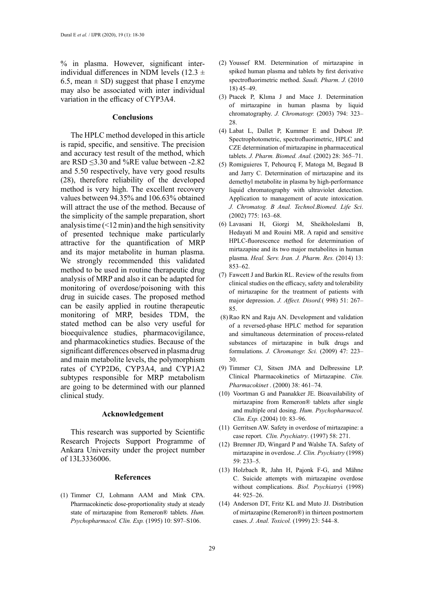% in plasma. However, significant interindividual differences in NDM levels (12.3  $\pm$ 6.5, mean  $\pm$  SD) suggest that phase I enzyme may also be associated with inter individual variation in the efficacy of CYP3A4.

## **Conclusions**

The HPLC method developed in this article is rapid, specific, and sensitive. The precision and accuracy test result of the method, which are RSD ≤3.30 and %RE value between -2.82 and 5.50 respectively, have very good results (28), therefore reliability of the developed method is very high. The excellent recovery values between 94.35% and 106.63% obtained will attract the use of the method. Because of the simplicity of the sample preparation, short analysis time  $($  < 12 min) and the high sensitivity of presented technique make particularly attractive for the quantification of MRP and its major metabolite in human plasma. We strongly recommended this validated method to be used in routine therapeutic drug analysis of MRP and also it can be adapted for monitoring of overdose/poisoning with this drug in suicide cases. The proposed method can be easily applied in routine therapeutic monitoring of MRP, besides TDM, the stated method can be also very useful for bioequivalence studies, pharmacovigilance, and pharmacokinetics studies. Because of the significant differences observed in plasma drug and main metabolite levels, the polymorphism rates of CYP2D6, CYP3A4, and CYP1A2 subtypes responsible for MRP metabolism are going to be determined with our planned clinical study.

## **Acknowledgement**

This research was supported by Scientific Research Projects Support Programme of Ankara University under the project number of 13L3336006.

#### **References**

(1) Timmer CJ, Lohmann AAM and Mink CPA. Pharmacokinetic dose-proportionality study at steady state of mirtazapine from Remeron® tablets. *Hum. Psychopharmacol. Clin. Exp.* (1995) 10: S97–S106.

- (2) Youssef RM. Determination of mirtazapine in spiked human plasma and tablets by first derivative spectrofluorimetric method. *Saudi. Pharm. J.* (2010 18) 45–49.
- (3) Ptacek P, Klıma J and Mace J. Determination of mirtazapine in human plasma by liquid chromatography. *J. Chromatogr.* (2003) 794: 323– 28.
- (4) Labat L, Dallet P, Kummer E and Dubost JP. Spectrophotometric, spectrofluorimetric, HPLC and CZE determination of mirtazapine in pharmaceutical tablets. *J. Pharm. Biomed. Anal.* (2002) 28: 365–71.
- (5) Romiguieres T, Pehourcq F, Matoga M, Begaud B and Jarry C. Determination of mirtazapine and its demethyl metabolite in plasma by high-performance liquid chromatography with ultraviolet detection. Application to management of acute intoxication. *J. Chromatog. B Anal. Technol.Biomed. Life Sci*. (2002) 775: 163–68.
- (6) Lavasani H, Giorgi M, Sheikholeslami B, Hedayati M and Rouini MR. A rapid and sensitive HPLC-fluorescence method for determination of mirtazapine and its two major metabolites in human plasma. *Heal. Serv. Iran. J. Pharm. Res.* (2014) 13: 853–62.
- (7) Fawcett J and Barkin RL. Review of the results from clinical studies on the efficacy, safety and tolerability of mirtazapine for the treatment of patients with major depression. *J. Affect. Disord.*( 998) 51: 267– 85.
- (8)Rao RN and Raju AN. Development and validation of a reversed-phase HPLC method for separation and simultaneous determination of process-related substances of mirtazapine in bulk drugs and formulations. *J. Chromatogr. Sci.* (2009) 47: 223– 30.
- (9) Timmer CJ, Sitsen JMA and Delbressine LP. Clinical Pharmacokinetics of Mirtazapine. *Clin. Pharmacokinet* . (2000) 38: 461–74.
- (10) Voortman G and Paanakker JE. Bioavailability of mirtazapine from Remeron® tablets after single and multiple oral dosing. *Hum. Psychopharmacol. Clin. Exp.* (2004) 10: 83–96.
- (11) Gerritsen AW. Safety in overdose of mirtazapine: a case report. *Clin. Psychiatry*. (1997) 58: 271.
- (12) Bremner JD, Wingard P and Walshe TA. Safety of mirtazapine in overdose. *J. Clin. Psychiatry* (1998) 59: 233–5.
- (13) Holzbach R, Jahn H, Pajonk F-G, and Mähne C. Suicide attempts with mirtazapine overdose without complications. *Biol. Psychiatry*i (1998) 44: 925–26.
- (14) Anderson DT, Fritz KL and Muto JJ. Distribution of mirtazapine (Remeron®) in thirteen postmortem cases. *J. Anal. Toxicol.* (1999) 23: 544–8.